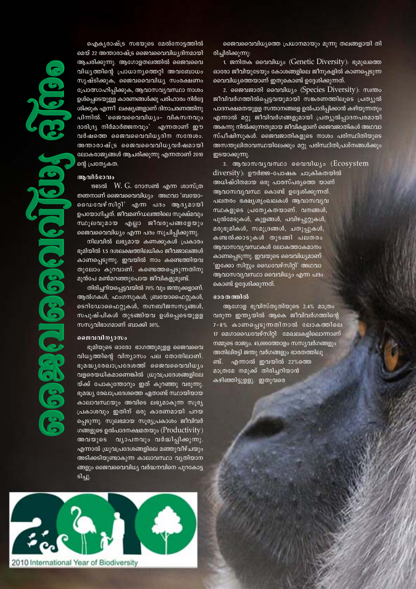ഐക്യരാഷ്ട്ര സഭയുടെ മേൽനോട്ടത്തിൽ

മെയ് 22 അന്താരാഷ്ട്ര ജൈവവൈവിധ്യദിനമായി <mark>ആചരിക്കുന്നു. ആഗോളതലത്തിൽ ജൈവവൈ</mark> വിധൃത്തിന്റെ പ്രാധാനൃത്തെറ്റി അവബോധം സൃഷ്ടിക്കുക, ജൈവവൈവിധ്യ സംരക്ഷണം  $\ell$ പ്രാത്സാഹിപ്പിക്കുക, ആവാസവ്യവസ്ഥാ നാശം ഉൾപ്പെടെയുള്ള കാരണങ്ങൾക്കു പരിഹാരം നിർദ്ദേ ശിക്കുക എന്നീ ലക്ഷ്യങ്ങളാണ് ദിനാചരണത്തിനു പിന്നിൽ. 'ജൈവവൈവിധ്യം- വികസനവും ദാരിദ്ര്യ നിർമാർജ്ജനവും' എന്ന<u>താണ് ഈ</u>  $\alpha$ ർഷത്തെ ജൈവവൈവിധ്യദിന സന്ദേശം. അന്താരാഷ്ട്ര ജൈവവൈവിധൃവർഷമായി ലോകരാജൃങ്ങൾ ആചരിക്കുന്നു എന്നതാണ് 2010 ന്റെ പ്രത്യേകത.

## **Bh**and@ang

1985ൽ W.  $G$ . റോസൺ എന്ന ശാസ്ത്ര  $\mathfrak P$ ഞനാണ് ജൈവവൈവിധ്യം അഥവാ 'ബയോ− லைை மேல் பிறி' എന്ന പദം ആദൃമായി ഉപയോഗിച്ചത്. ജീവമണ്ഡലത്തിലെ സുക്ഷ്മവും സ്ഥൂലവുമായ എല്ലാ ജീവരൂപങ്ങളേയും ജൈവവൈവിധ്യം എന്ന പദം സൂചിപ്പിക്കുന്നു.

നിലവിൽ ലഭ്യമായ കണക്കുകൾ പ്രകാരം ഭൂമിയിൽ 1.5 ദശലക്ഷത്തിലധികം ജീവജാലങ്ങൾ കാണപ്പെടുന്നു. ഇവയിൽ നാം ക<u>ണ്ടെത്തിയവ</u> തുലോം കുറവാണ്. കണ്ടെത്തപ്പെടുന്നതിനു മുൻപേ മൺമറഞ്ഞുപോയ ജീവികളുമുണ്ട്.

തിരിച്ചറിയപ്പെട്ടവയിൽ 70% വും ജന്തുക്കളാണ്. ആൽഗകൾ, ഫംഗസുകൾ, ബ്രയോഫൈറ്റുകൾ, ടെറിഡോഫൈറ്റുകൾ, നഗ്നബീജസസ്യങ്ങൾ, സപുഷ്പികൾ തുടങ്ങിയവ ഉൾപ്പെടെയുളള സസൃവിഭാഗമാണ് ബാക്കി  $30\%$ .

#### **ടൈവവിന്യാസം**

ഭൂമിയുടെ ഓരോ ഭാഗത്തുമുളള ജൈവവൈ വിധൃത്തിന്റെ വിന്യാസം പല തോതിലാണ്. ഭൂമദ്ധൃരേഖാപ്രദേശത്ത് ജൈവവൈവിധൃം വളരെയധികമാണെങ്കിൽ ഗ്രുവപ്രദേശങ്ങളിലേ യ്ക്ക് പോകുന്തോറും ഇത് കുറഞ്ഞു വരുന്നു.  $\epsilon$ ൂമദ്ധ്യ രേഖാപ്രദേശത്തെ ഏതാണ്ട് സ്ഥായിയായ കാലാവസ്ഥയും അവിടെ ലഭൃമാകുന്ന സുരൃ പ്രകാശവും ഇതിന് ഒരു കാരണമായി പറയ പ്പെടുന്നു. സുലഭമായ സൂര്യപ്രകാശം ജീവിവർ ഗങ്ങളുടെ ഉൽപാദനക്ഷമതയും ( $Productivity$ ) അവയുടെ വൃാപനവും വ**ർദ്ധിപ്പിക്കുന്നു**. എന്നാൽ ധ്രുവപ്രദേശങ്ങളിലെ മഞ്ഞുവീഴ്ചയും അടിക്കടിയുണ്ടാകുന്ന കാലാവസ്ഥാ വൃതിയാന ങ്ങളും ജൈവവൈവിധ്യ വർദ്ധനവിനെ പുറകോട്ട ടിച്ചു.



2010 International Year of Biodiversity

 $\mathfrak{so}$ ജവവൈവിധ്യത്തെ പ്രധാനമായും മൂന്നു തലങ്ങളായി തി രിച്ചിരിക്കുന്നു:

1. ജനിതക വൈവിധ്യം (Genetic Diversity): ഭൂമുഖത്തെ ഓരോ ജീവിയുടേയും കോശങ്ങളിലെ ജീനുകളിൽ കാണപ്പെടുന്ന വൈവിധ്യത്തെയാണ് ഇതുകൊണ്ട് ഉദ്ദേശിക്കുന്നത്.

2. ജൈവജാതി വൈവിധ്യം (Species Diversity): സ്വന്തം ജീവിവർഗത്തിൽപ്പെട്ടവയുമായി സങ്കരണത്തിലൂടെ പ്രത്യുൽ പാദനക്ഷമതയുളള സന്താനങ്ങളെ ഉൽപാദിപ്പിക്കാൻ കഴിയുന്നതും എന്നാൽ മറ്റു ജീവിവർഗങ്ങളുമായി പ്രത്യൂൽപ്പാദനപരമായി അകന്നു നിൽക്കുന്നതുമായ ജീവികളാണ് ജൈവജാതികൾ അഥവാ സ്പീഷിസുകൾ. ജൈവജാതികളുടെ നാശം പരിസ്ഥിതിയുടെ അസന്തുലിതാവസ്ഥയിലേക്കും മറ്റു പരിസ്ഥിതിപ്രശ്നങ്ങൾക്കും ഇടയാക്കുന്നു.

3. ആവാസവൃവസ്ഥാ വൈവിധൃം (Ecosystem diversity): ഊർജ്ജ-പോഷക ചാക്രികതയിൽ അധിഷ്ഠിതമായ ഒരു പാരസ്പര്യത്തെ യാണ് ആവാസവ്യവസ്ഥ കൊണ്ട് ഉദ്ദേശിക്കുന്നത്. പലതരം ഭക്ഷ്യശൃംഖലകൾ ആവാസവൃവ സ്ഥകളുടെ പ്രത്യേകതയാണ്. വനങ്ങൾ, പുൽമേടുകൾ, കുളങ്ങൾ, പവിഴപ്പുറ്റുകൾ, മരുഭൂമികൾ, സമുദ്രങ്ങൾ, **ചതുപ്പുകൾ**, കണ്ടൽക്കാടുകൾ തുടങ്ങി പലതരം ആവാസവ്യവസ്ഥകൾ ലോകത്താകമാനം കാണപ്പെടുന്നു. ഇവയുടെ വൈവിധ്യമാണ് 'ഇക്കോ സിസ്റ്റം ഡൈവേഴ്സിറ്റി' അഥവാ <u>ആവാസവൃവസ്ഥാ വൈവിധ്യം എന്ന പദം</u> കൊണ്ട് ഉദ്ദേശിക്കുന്നത്.

### ഭാരതത്തിൽ

ആഗോള ഭൂവിസ്തൃതിയുടെ 2.4% മാത്രം വരുന്ന ഇന്തൃയിൽ ആകെ ജീവിവർഗത്തിന്റെ 7-8% കാണപ്പെടുന്നതിനാൽ ലോകത്തിലെ 17 മെഗാഡൈവേഴ്സിറ്റി മേഖലകളിലൊന്നാണ് നമ്മുടെ രാജ്യം. 45,000ത്തോളം സസ്യവർഗങ്ങളും അതിലിരട്ടി ജന്തു വർഗങ്ങളും ഭാരതത്തിലു ണ്ട്. എന്നാൽ ഇവയിൽ 22%ത്തെ മാത്രമേ നമുക്ക് തിരിച്ചറിയാൻ കഴിഞ്ഞിട്ടുളളു. ഇതുവരെ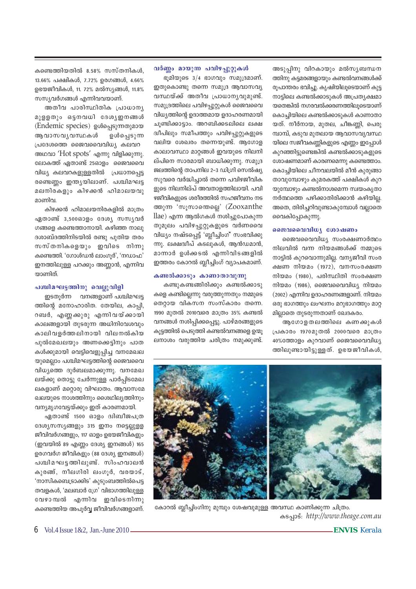അടൂപിനു വിറകായും മൽസ്യബന്ധന ത്തിനു കട്ടമരങ്ങളായും കണ്ടൽവനങ്ങൾക്ക് രൂപാന്തരം ഭവിച്ചു. കൃഷിയിലൂടെയാണ് കുട്ട നാട്ടിലെ കണ്ടൽക്കാടുകൾ അപ്രത്യക്ഷമാ യതെങ്കിൽ നഗരവൽക്കരണത്തിലൂടെയാണ് കൊച്ചിയിലെ കണ്ടൽക്കാടുകൾ കാണാതാ യത്. നീർനായ, മുതല, ചീങ്കണ്ണി, പെരു മ്പാമ്പ്, കടുവ മുതലായ ആവാസവ്യവസ്ഥ യിലെ സജീവകണ്ണികളുടെ എണ്ണം ഇപ്പോൾ കുറഞ്ഞിട്ടുണ്ടെങ്കിൽ കണ്ടൽക്കാടുകളുടെ ശോഷണമാണ് കാരണമെന്നു കണ്ടെത്താം. കൊച്ചിയിലെ ചീനവലയിൽ മീൻ കുരുങ്ങാ താവുമ്പോഴും കുമരകത്ത് പക്ഷികൾ കുറ യുമ്പോഴും കണ്ടൽനാശമെന്ന സ്വയംകൃതാ നർത്ഥത്തെ പഴിക്കാതിരിക്കാൻ കഴിയില<u>.</u> അതെ, തിരിച്ചറിവുണ്ടാകുമ്പോൾ വല്ലാതെ വൈകിപ്പോകുന്നു.

## **ssamshared** consumo

ജൈവവൈവിധൃ സംരക്ഷണാർത്ഥം നിലവിൽ വന്ന നിയമങ്ങൾക്ക് നമ്മുടെ നാട്ടിൽ കുറവൊന്നുമില്ല. വന്യജീവി സംര ക്ഷണ നിയമം  $(1972)$ , വനസംരക്ഷണ നിയമം  $(1980)$ , പരിസ്ഥിതി സംരക്ഷണ നിയമം  $(1986)$ , ജൈവവൈവിധ്യ നിയമം  $(2002)$  എന്നിവ ഉദാഹരണങ്ങളാണ്. നിയമം ഒരു ഭാഗത്തും ലംഘനം മറുഭാഗത്തും മാറ്റ മില്ലാതെ തുടരുന്നതാണ് ഖേദകരം.

ആഗോളതലത്തിലെ കണക്കുകൾ (പകാരം 1970മുതൽ 2000**വ**രെ മാത്രം  $40\%$ ത്തോളം കുറവാണ് ജൈവവൈവിധ്യ ത്തിലുണ്ടായിട്ടുള്ളത്. ഉഭയജീവികൾ,

# വർണ്ണം മായുന്ന പവിഴപ്പുറ്റുകൾ

ഭൂമിയുടെ  $3/4$  ഭാഗവും സമുദ്രമാണ്. ഇതുകൊണ്ടു തന്നെ സമുദ്ര ആവാസവൃ വസ്ഥയ്ക്ക് അതീവ പ്രാധാനൃവുമുണ്ട്. സമുദ്രത്തിലെ പവിഴപ്പുറ്റുകൾ ജൈവവൈ വിധ്യത്തിന്റെ ഉദാത്തമായ ഉദാഹരണമായി ചുണ്ടിക്കാട്ടാം. അറബിക്കടലിലെ ലക്ഷ ദ്വീപിലും സമീപത്തും പവിഴപ്പുറ്റുകളു<mark>ടെ</mark> വലിയ ശേഖരം തന്നെയുണ്ട്. **ആഗോള** കാലാവസ്ഥാ മാറ്റങ്ങൾ ഇവയുടെ നിലനി ല്പിനെ സാരമായി ബാധിക്കുന്നു. സമുദ്ര ജലത്തിന്റെ താപനില 2–3 ഡിഗ്രി സെൽഷ്യ സുവരെ വർദ്ധിച്ചാൽ തന്നെ പവിഴജീവിക ളുടെ നിലനില്പ് അവതാളത്തിലായി. പവി ഴജീവികളുടെ ശരീരത്തിൽ സഹജീവനം നട ത്തുന്ന 'സൂസാതെല്ലെ' (Zooxanthe llae) എന്ന ആൽഗകൾ നശിച്ചുപോകുന്ന തുമൂലം പവിഴപ്പുറ്റുകളുടെ വർണവൈ വിധൃം നഷ്ടപ്പെട്ട് 'ബ്ലീച്ചിംഗ്' സംഭവിക്കു ന്നു. ലക്ഷദ്വീപ് കടലുകൾ, ആൻഡമാൻ, മാന്നാർ ഉൾക്കടൽ എന്നിവിടങ്ങളിൽ ഇത്തരം കോറൽ ബ്ലീച്ചിംഗ് വ്യാപകമാണ്.

## **കണ്ടൽക്കാടും കാണാതാവുന്നു**

കണ്ടുകണ്ടങ്ങിരിക്കും കണ്ടൽക്കാടു കളെ കണ്ടില്ലെന്നു വരുത്തുന്നതും നമ്മുടെ തെറ്റായ വികസന സംസ്കാരം തന്നെ. 1990 മുതൽ 2010വരെ മാത്രം 35% കണ്ടൽ വനങ്ങൾ നശിപ്പിക്കപ്പെട്ടു. പാഴ്മരങ്ങളുടെ കൂട്ടത്തിൽ പെടുത്തി കണ്ടൽവനങ്ങളെ ഉന്മൂ ലനാശം വരുത്തിയ ചരിത്രം നമുക്കുണ്ട്.

കണ്ടെത്തിയതിൽ 8.58% സസ്തനികൾ, 13.66% പക്ഷികൾ, 7.72% ഉരഗങ്ങൾ, 4.66% ഉഭയജീവികൾ, 11. 72% മൽസ്യങ്ങൾ, 11.8% സസ്യവർഗങ്ങൾ എന്നിവവയാണ്.

അതീവ പാരിസ്ഥിതിക പ്രാധാന്യ  $\Omega$  $\Omega$ ളളതും ഒട്ടനവധി ദേശ്യഇനങ്ങൾ (Endemic species) ഉൾപ്പെടുന്നതുമായ ആവാസവൃവസ്ഥകൾ ഉൾപ്പെടുന്ന  $[$ പദേശത്തെ ജൈവവൈവിധ്യ കലവറ അഥവാ 'Hot spots' എന്നു വിളിക്കുന്നു. ലോകത്ത് ഏതാണ്ട് 25ഓളം ജൈവവൈ വിധ്യ കലവറകളുള്ളതിൽ  $\mu$ പധാനപ്പെട്ട രണ്ടെണ്ണം ഇന്ത്യയിലാണ്. പശ്ചിമഘട്ട മലനിരകളും കിഴക്കൻ ഹിമാലയവു മാണിവ.

കിഴക്കൻ ഹിമാലയനിരകളിൽ മാത്രം  $\alpha$ ദിതാണ്ട് 3,500ഓളം ദേശ്യ സസ്യവർ ഗങ്ങളെ കണ്ടെത്താനായി. കഴിഞ്ഞ നാലു ദശാബ്ദത്തിനിടയിൽ രണ്ടു പുതിയ തരം സസ്തനികളെയും ഇവിടെ നിന്നു  $\omega$ കണ്ടെത്തി. 'ഗോൾഡൻ ലാംഗൂർ', 'നഡാഫ' ഇനത്തിലുള്ള പറക്കും അണ്ണാൻ, എന്നിവ യാണിത്.

## **പശ്ചിമഘട്ടത്തിനു** വെല്ലുവിളി

ഇടതുർന്ന വനങ്ങളാണ് പശ്ചിമഘട്ട ത്തിന്റെ മനോഹാരിത. തേയില, കാപ്പി, റബർ, എണ്ണക്കുരു എന്നിവയ്ക്കായി കാലങ്ങളായി തുടരുന്ന അധിനിവേശവും കാലിവളർത്തലിനായി വിലനൽകിയ പുൽമേഖലയും അണക്കെട്ടിനും പാത കൾക്കുമായി വെട്ടിവെളുപ്പിച്ച വനമേഖല യുമെല്ലാം പശ്ചിമഘട്ടത്തിന്റെ ജൈവവൈ  $n\omega$ പിധൃത്തെ ദുർബലമാക്കുന്നു. വനമേഖ ലയ്ക്കു തൊട്ടു ചേർന്നുള്ള പാർപ്പിടമേഖ ലകളാണ് മറ്റൊരു വിഘാതം. ആവാസമേ ഖലയുടെ നാശത്തിനും ശൈഥില്യത്തിനും വന്യമൃഗവേട്ടയ്ക്കും ഇത് കാരണമായി.

ഏതാണ്ട് 1500 ഓളം ദ്വിബീജപത്ര ദേശ്യസസ്യങ്ങളും 315 ഇനം നട്ടെല്ലുള്ള ജീവിവർഗങ്ങളും, 117 ഓളം ഉഭയജീവികളും  $(g$ വയിൽ 89 എണ്ണം ദേശ്യ ഇനങ്ങൾ) 165 ഉരഗവർഗ ജീവികളും  $(88 \text{ G}$ ശ്യ ഇനങ്ങൾ $)$ പശ്ചിമഘട്ടത്തിലുണ്ട്. സിംഹവാലൻ കുരങ്ങ്, നീലഗിരി ലംഗൂർ, വരയാട്, 'നാസികബെട്രാക്കിട' കൂടുംബത്തിൽപെട്ട തവളകൾ, 'മലബാർ ഗ്രേ' വിഭാഗത്തിലുള്ള വേഴാമ്പൽ എന്നിവ ഇവിടെനിന്നു കണ്ടെത്തിയ അപൂർവ്വ ജീവിവർഗങ്ങളാണ്.



കോറൽ ബ്ലീച്ചിംഗിനു മുമ്പും ശേഷവുമുള്ള അവസ്ഥ കാണിക്കുന്ന ചിത്രം. IS-∏mSv: *http://www.theage.com.au*